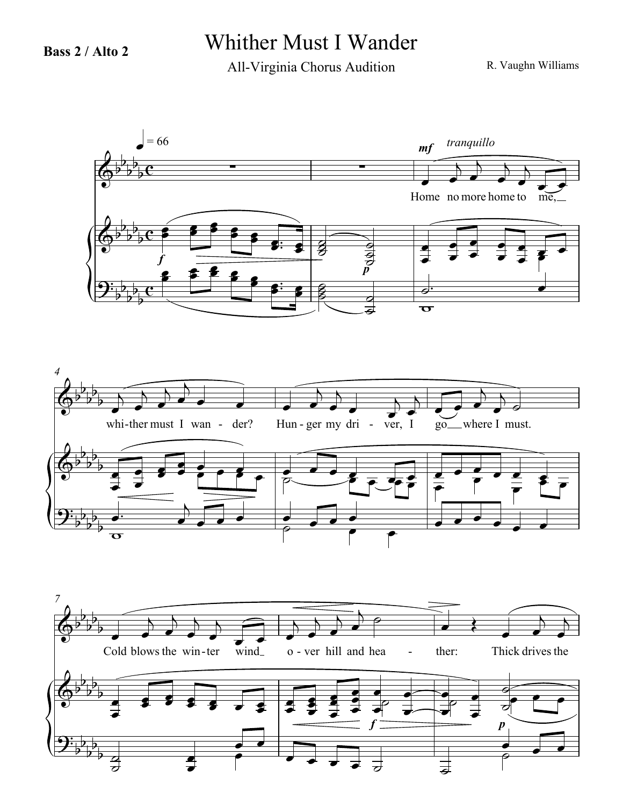## **Bass 2 / Alto 2** Whither Must I Wander

All-Virginia Chorus Audition

R. Vaughn Williams